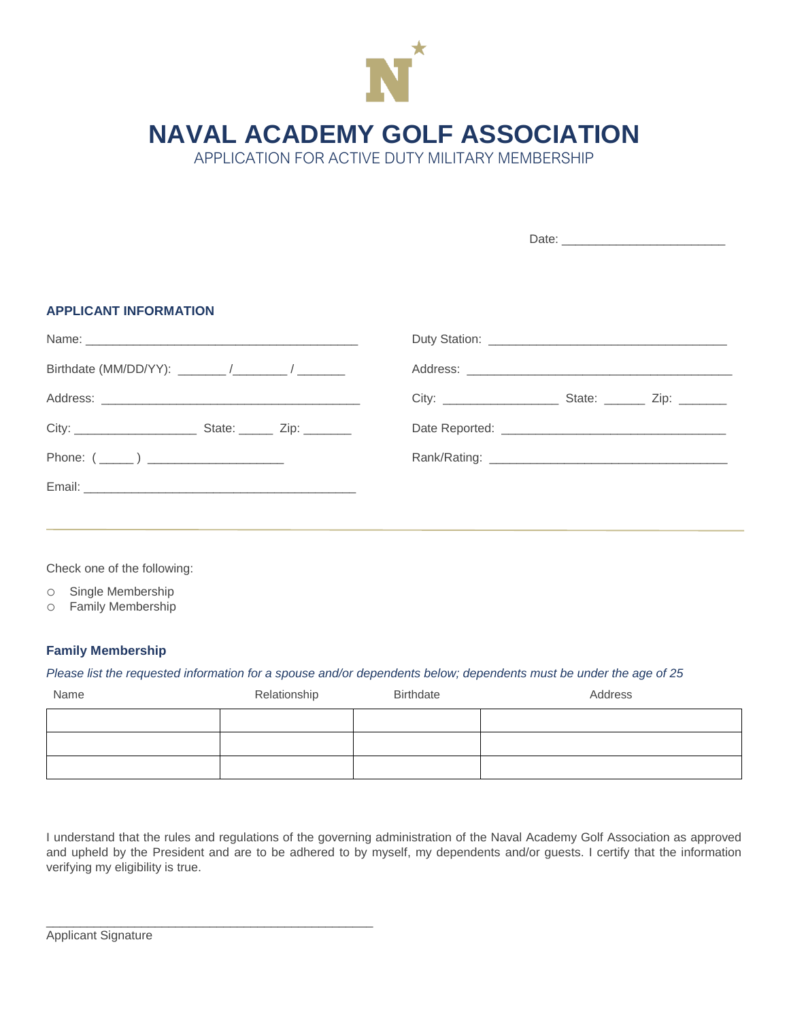

**NAVAL ACADEMY GOLF ASSOCIATION**

APPLICATION FOR ACTIVE DUTY MILITARY MEMBERSHIP

| <b>APPLICANT INFORMATION</b> |  |  |  |
|------------------------------|--|--|--|
|                              |  |  |  |
|                              |  |  |  |
|                              |  |  |  |
|                              |  |  |  |
|                              |  |  |  |
|                              |  |  |  |
|                              |  |  |  |

Check one of the following:

o Single Membership

o Family Membership

## **Family Membership**

## *Please list the requested information for a spouse and/or dependents below; dependents must be under the age of 25*

| Name | Relationship | Birthdate | Address |  |
|------|--------------|-----------|---------|--|
|      |              |           |         |  |
|      |              |           |         |  |
|      |              |           |         |  |

I understand that the rules and regulations of the governing administration of the Naval Academy Golf Association as approved and upheld by the President and are to be adhered to by myself, my dependents and/or guests. I certify that the information verifying my eligibility is true.

\_\_\_\_\_\_\_\_\_\_\_\_\_\_\_\_\_\_\_\_\_\_\_\_\_\_\_\_\_\_\_\_\_\_\_\_\_\_\_\_\_\_\_\_\_\_\_\_